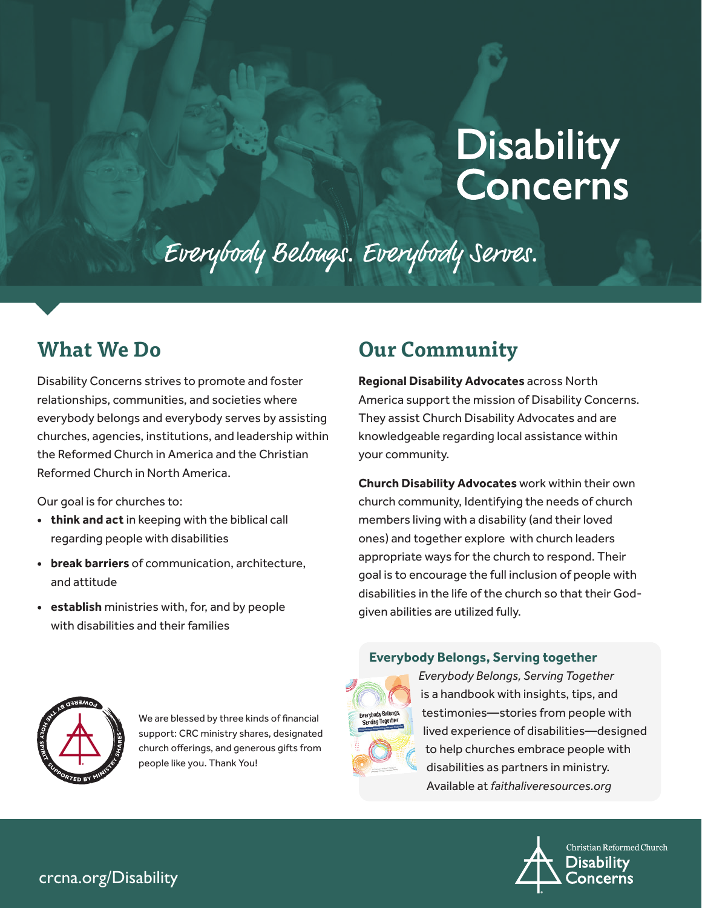# **Disability<br>Concerns**

## Everybody Belongs. Everybody Serves.

## **What We Do**

Disability Concerns strives to promote and foster relationships, communities, and societies where everybody belongs and everybody serves by assisting churches, agencies, institutions, and leadership within the Reformed Church in America and the Christian Reformed Church in North America.

Our goal is for churches to:

- **• think and act** in keeping with the biblical call regarding people with disabilities
- **• break barriers** of communication, architecture, and attitude
- **• establish** ministries with, for, and by people with disabilities and their families

## **Our Community**

**[Regional Disability Advocates](https://www.crcna.org/disability/advocates-corner)** across North America support the mission of Disability Concerns. They assist Church Disability Advocates and are knowledgeable regarding local assistance within your community.

**Church Disability Advocates** work within their own church community, Identifying the needs of church members living with a disability (and their loved ones) and together explore with church leaders appropriate ways for the church to respond. Their goal is to encourage the full inclusion of people with disabilities in the life of the church so that their Godgiven abilities are utilized fully.



We are blessed by three kinds of financial support: CRC ministry shares, designated church offerings, and generous gifts from people like you. Thank You!

#### **Everybody Belongs, Serving together**



*Everybody Belongs, Serving Together* is a handbook with insights, tips, and testimonies—stories from people with lived experience of disabilities—designed to help churches embrace people with disabilities as partners in ministry. Available at *[faithaliveresources.org](https://www.faithaliveresources.org/Products/810516/everybody-belongs-serving-together.aspx)*



#### crcna.org/Disability